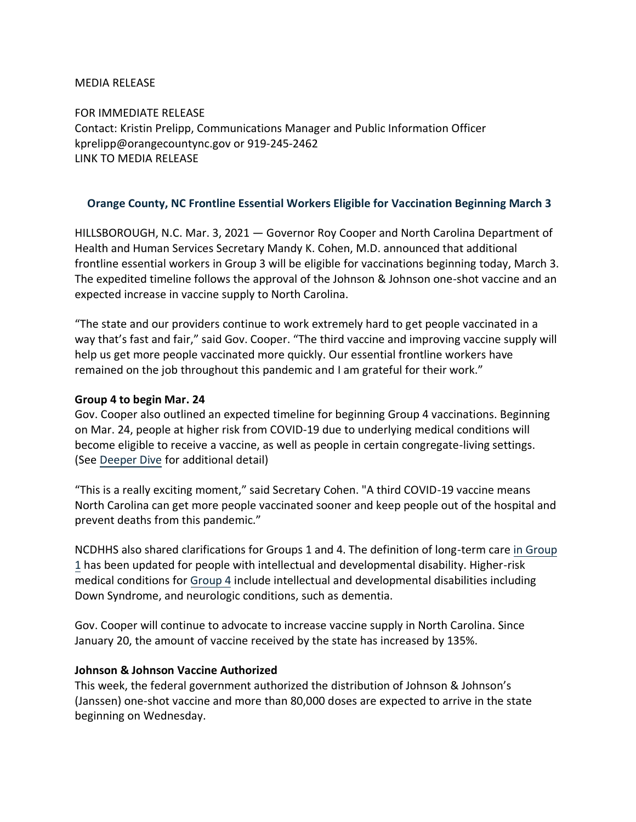### MEDIA RELEASE

FOR IMMEDIATE RELEASE Contact: Kristin Prelipp, Communications Manager and Public Information Officer kprelipp@orangecountync.gov or 919-245-2462 [LINK TO MEDIA RELEASE](https://www.orangecountync.gov/DocumentCenter/View/15060/Gov-Cooper-Announces-Frontline-Essential-Workers-Eligible-for-Vaccination-Beginning-March-3-FINAL)

## **Orange County, NC Frontline Essential Workers Eligible for Vaccination Beginning March 3**

HILLSBOROUGH, N.C. Mar. 3, 2021 ― Governor Roy Cooper and North Carolina Department of Health and Human Services Secretary Mandy K. Cohen, M.D. announced that additional frontline essential workers in Group 3 will be eligible for vaccinations beginning today, March 3. The expedited timeline follows the approval of the Johnson & Johnson one-shot vaccine and an expected increase in vaccine supply to North Carolina.

"The state and our providers continue to work extremely hard to get people vaccinated in a way that's fast and fair," said Gov. Cooper. "The third vaccine and improving vaccine supply will help us get more people vaccinated more quickly. Our essential frontline workers have remained on the job throughout this pandemic and I am grateful for their work."

### **Group 4 to begin Mar. 24**

Gov. Cooper also outlined an expected timeline for beginning Group 4 vaccinations. Beginning on Mar. 24, people at higher risk from COVID-19 due to underlying medical conditions will become eligible to receive a vaccine, as well as people in certain congregate-living settings. (See [Deeper Dive](https://urldefense.com/v3/__https:/click.icptrack.com/icp/relay.php?r=39781839&msgid=487564&act=20YB&c=1346310&destination=https*3A*2F*2Ffiles.nc.gov*2Fcovid*2Fdocuments*2Fvaccines*2FDeeper-Dive-Group-4-Essential-Workers-Not-Yet-Vaccinated.pdf&cf=13425&v=97114a472c7a2b46fa2f0a552e8a314e7cca4b81b83c6433083637afa58e1c02__;JSUlJSUlJQ!!HYmSToo!JJL6BUkA9JZEEo3H2wq509WK5MnN6JWUkSMSjcuzPdpgkw-hutNp75ApDier3jkbzqiB$) for additional detail)

"This is a really exciting moment," said Secretary Cohen. "A third COVID-19 vaccine means North Carolina can get more people vaccinated sooner and keep people out of the hospital and prevent deaths from this pandemic."

NCDHHS also shared clarifications for Groups 1 and 4. The definition of long-term care [in](https://urldefense.com/v3/__https:/click.icptrack.com/icp/relay.php?r=39781839&msgid=487564&act=20YB&c=1346310&destination=https*3A*2F*2Ffiles.nc.gov*2Fcovid*2Fdocuments*2Fvaccines*2FDeeper-Dive-Group-1.pdf&cf=13425&v=0559874971f8e9abc926c42db92fb03b67c03f13da091fcf6be2bb2f8f8c2a41__;JSUlJSUlJQ!!HYmSToo!JJL6BUkA9JZEEo3H2wq509WK5MnN6JWUkSMSjcuzPdpgkw-hutNp75ApDier3nYYgbAR$) [Group](https://urldefense.com/v3/__https:/click.icptrack.com/icp/relay.php?r=39781839&msgid=487564&act=20YB&c=1346310&destination=https*3A*2F*2Ffiles.nc.gov*2Fcovid*2Fdocuments*2Fvaccines*2FDeeper-Dive-Group-1.pdf&cf=13425&v=0559874971f8e9abc926c42db92fb03b67c03f13da091fcf6be2bb2f8f8c2a41__;JSUlJSUlJQ!!HYmSToo!JJL6BUkA9JZEEo3H2wq509WK5MnN6JWUkSMSjcuzPdpgkw-hutNp75ApDier3nYYgbAR$) [1](https://urldefense.com/v3/__https:/click.icptrack.com/icp/relay.php?r=39781839&msgid=487564&act=20YB&c=1346310&destination=https*3A*2F*2Ffiles.nc.gov*2Fcovid*2Fdocuments*2Fvaccines*2FDeeper-Dive-Group-1.pdf&cf=13425&v=0559874971f8e9abc926c42db92fb03b67c03f13da091fcf6be2bb2f8f8c2a41__;JSUlJSUlJQ!!HYmSToo!JJL6BUkA9JZEEo3H2wq509WK5MnN6JWUkSMSjcuzPdpgkw-hutNp75ApDier3nYYgbAR$) has been updated for people with intellectual and developmental disability. Higher-risk medical conditions for [Group 4](https://urldefense.com/v3/__https:/click.icptrack.com/icp/relay.php?r=39781839&msgid=487564&act=20YB&c=1346310&destination=https*3A*2F*2Ffiles.nc.gov*2Fcovid*2Fdocuments*2Fvaccines*2FDeeper-Dive-Group-4-Essential-Workers-Not-Yet-Vaccinated.pdf&cf=13425&v=97114a472c7a2b46fa2f0a552e8a314e7cca4b81b83c6433083637afa58e1c02__;JSUlJSUlJQ!!HYmSToo!JJL6BUkA9JZEEo3H2wq509WK5MnN6JWUkSMSjcuzPdpgkw-hutNp75ApDier3jkbzqiB$) include intellectual and developmental disabilities including Down Syndrome, and neurologic conditions, such as dementia.

Gov. Cooper will continue to advocate to increase vaccine supply in North Carolina. Since January 20, the amount of vaccine received by the state has increased by 135%.

#### **Johnson & Johnson Vaccine Authorized**

This week, the federal government authorized the distribution of Johnson & Johnson's (Janssen) one-shot vaccine and more than 80,000 doses are expected to arrive in the state beginning on Wednesday.